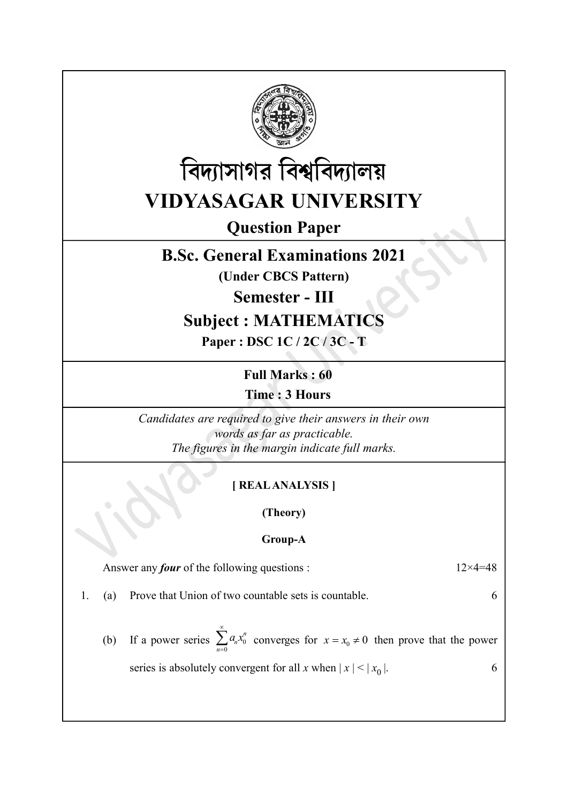



Question Paper

## B.Sc. General Examinations 2021

(Under CBCS Pattern)

Semester - III

# Subject : MATHEMATICS

Paper : DSC 1C / 2C / 3C - T

Full Marks : 60 Time : 3 Hours

Candidates are required to give their answers in their own words as far as practicable. The figures in the margin indicate full marks.

### [ REAL ANALYSIS ]

(Theory)

#### Group-A

Answer any *four* of the following questions :  $12 \times 4 = 48$ 

- 1. (a) Prove that Union of two countable sets is countable. 6
	- (b) If a power series  $\sum a_n x_0^n$ n  $\sum_{n}^{\infty} a_n x_0^n$  $\sum_{n=0} a_n x_0^n$  converges for  $x = x_0 \neq 0$  then prove that the power series is absolutely convergent for all x when  $|x| < |x_0|$ . 6
-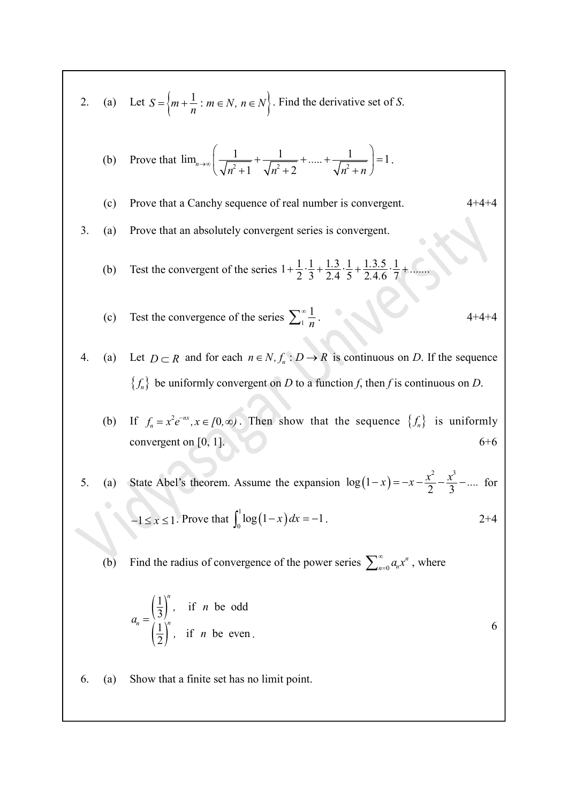2. (a) Let 
$$
S = \{m + \frac{1}{n} : m \in N, n \in N\}
$$
. Find the derivative set of S.  
\n(b) Prove that  $\lim_{n\to\infty} \left(\frac{1}{\sqrt{n^2 + 1}} + \frac{1}{\sqrt{n^2 + 2}} + \dots + \frac{1}{\sqrt{n^2 + n}}\right) = 1$ .  
\n(c) Prove that a Canchy sequence of real number is convergent.  
\n3. (a) Prove that an absolutely convergent series is convergent.  
\n(b) Test the convergent of the series  $1 + \frac{1}{2} \cdot \frac{1}{3} + \frac{1 \cdot 3}{2 \cdot 4} \cdot \frac{1}{5} + \frac{1 \cdot 3 \cdot 5}{2 \cdot 4 \cdot 6} + \frac{1 \cdot 3 \cdot 5}{7} + \dots$   
\n(c) Test the convergence of the series  $\sum_{1}^{\infty} \frac{1}{n}$ .  
\n4. (a) Let  $D \subset R$  and for each  $n \in N, f_n : D \to R$  is continuous on D. If the sequence  $\{f_n\}$  be uniformly convergent on D to a function f, then f is continuous on D.  
\n(b) If  $f_n = x^2 e^{-x}, x \in [0, \infty)$ . Then show that the sequence  $\{f_n\}$  is uniformly convergent on [0, 1].  
\n5. (a) State Abel's theorem. Assume the expansion  $\log(1-x) = -x - \frac{x^2}{2} - \frac{x^2}{3} - \dots$  for  $-1 \le x \le 1$ . Prove that  $\int_0^1 \log(1-x) dx = -1$ .  
\n(b) Find the radius of convergence of the power series  $\sum_{n=0}^{\infty} a_n x^n$ , where  $a_n = \left(\frac{1}{2}\right)^n$ , if  $n$  be odd  
\n $a_n = \left(\frac{1}{2}\right)^n$ , if  $n$  be even.  
\n6. (a) Show that a finite set has no limit point.

$$
a_n = \left(\frac{1}{3}\right)^n, \quad \text{if } n \text{ be odd} \\ \left(\frac{1}{2}\right)^n, \quad \text{if } n \text{ be even.} \tag{6}
$$

6. (a) Show that a finite set has no limit point.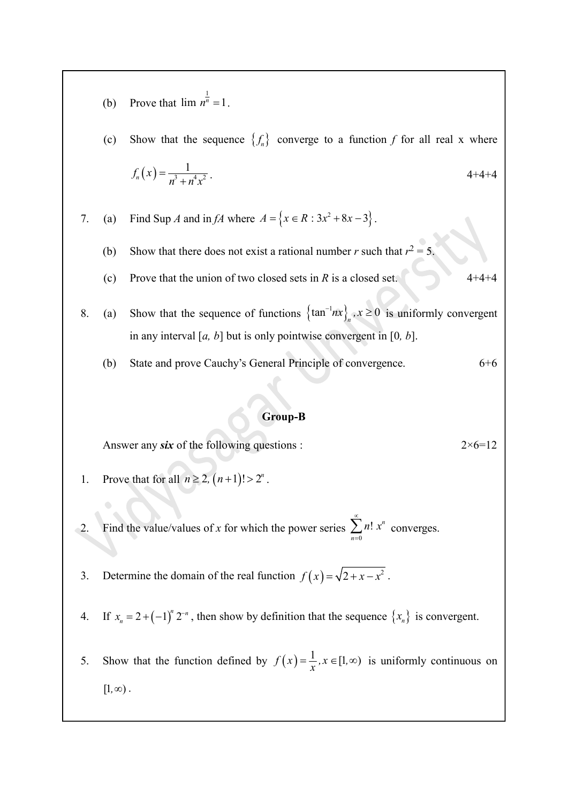- (b) Prove that  $\lim_{n \to \infty} n^{\frac{1}{n}} = 1$ .
- (c) Show that the sequence  $\{f_n\}$  converge to a function f for all real x where Prove that  $\lim_{n} \frac{1}{n^{n}} = 1$ .<br>
Show that the sequence  $\{f_{n}\}\$  converge to a function  $f$  for all real  $x$ <br>  $f_{n}(x) = \frac{1}{n^{3} + n^{4}x^{2}}$ .<br>
Find Sup  $A$  and in  $fA$  where  $A = \{x \in R : 3x^{2} + 8x - 3\}$ .  $=\frac{1}{n^3+n^4x^2}$ .  $x^3 + n^4x^2$ 1  $-4+4+4$
- 7. (a) Find Sup A and in fA where  $A = \{x \in R : 3x^2 + 8x 3\}$ .
	- (b) Show that there does not exist a rational number r such that  $r^2 = 5$ .
	- (c) Prove that the union of two closed sets in R is a closed set.  $4+4+4$
- 8. (a) Show that the sequence of functions  $\left\{\tan^{-1}nx\right\}_n$ ,  $x \ge 0$  is uniformly convergent in any interval [a, b] but is only pointwise convergent in [0, b].
	- (b) State and prove Cauchy's General Principle of convergence. 6+6

#### Group-B

Answer any six of the following questions :  $2 \times 6 = 12$ 

- 1. Prove that for all  $n \ge 2$ ,  $(n+1)! > 2^n$ .
- 2. Find the value/values of x for which the power series  $\sum_{n=0} n! x^n$  $\sum_{n=1}^{\infty} n! x^n$  $\sum_{n=0} n! x^n$  converges. in any interval [a, b] but is only pointwise convergent in [0, b].<br>
(b) State and prove Cauchy's General Principle of convergence.<br>
6+6<br> **Group-B**<br>
Answer any *six* of the following questions :<br>
2×6–12<br>
1. Prove that for
- 
- 4. If  $x_n = 2 + (-1)^n 2^{-n}$ , then show by definition that the sequence  $\{x_n\}$  is convergent.
- **Show that for all**  $u \ge 2$ **.**<br> **Show that for all**  $u \ge 2$ **.** ( $n+1$ )!  $> 2^n$ .<br> **Show that for all**  $u \ge 2$ **.** ( $n+1$ )!  $> 2^n$ .<br> **Show that the value/values of x for which the power series**  $\sum_{n=0}^{\infty} n! x^n$  **converges.<br>
<b>Show**  $=\frac{1}{x}$ ,  $x \in [1, \infty)$  is uniformly continuous on  $[1, \infty)$ .